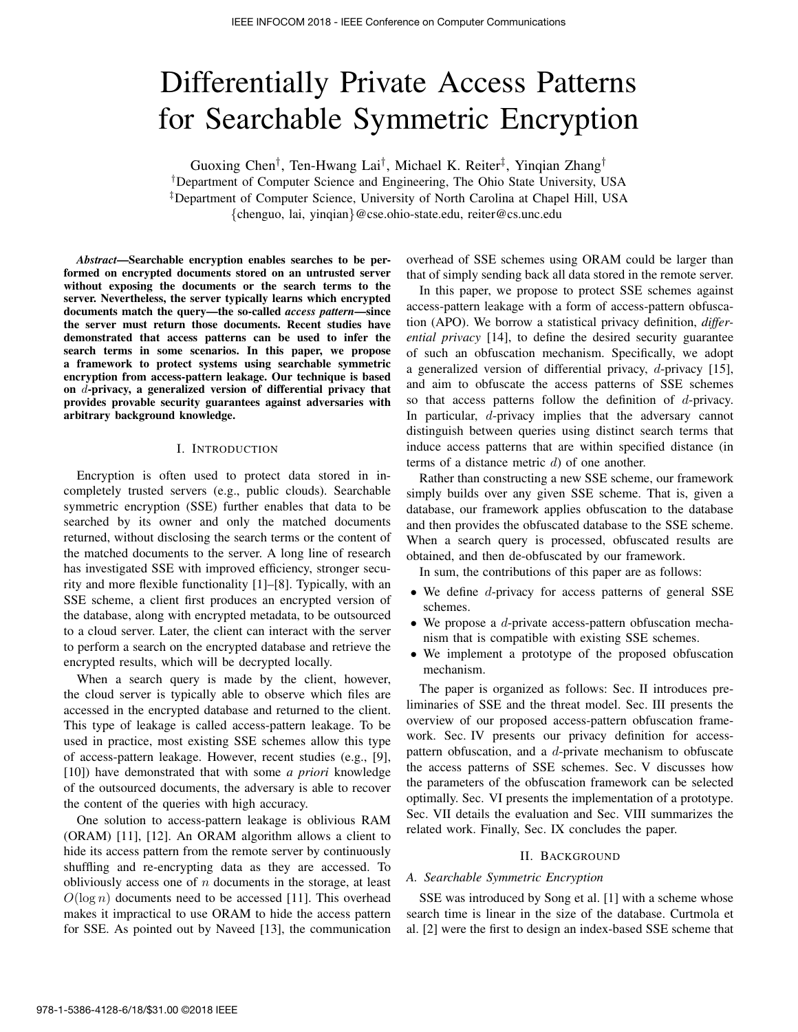# Differentially Private Access Patterns for Searchable Symmetric Encryption

Guoxing Chen<sup>†</sup>, Ten-Hwang Lai<sup>†</sup>, Michael K. Reiter<sup>‡</sup>, Yinqian Zhang<sup>†</sup> †Department of Computer Science and Engineering, The Ohio State University, USA ‡Department of Computer Science, University of North Carolina at Chapel Hill, USA {chenguo, lai, yinqian}@cse.ohio-state.edu, reiter@cs.unc.edu

*Abstract*—Searchable encryption enables searches to be performed on encrypted documents stored on an untrusted server without exposing the documents or the search terms to the server. Nevertheless, the server typically learns which encrypted documents match the query—the so-called *access pattern*—since the server must return those documents. Recent studies have demonstrated that access patterns can be used to infer the search terms in some scenarios. In this paper, we propose a framework to protect systems using searchable symmetric encryption from access-pattern leakage. Our technique is based on d-privacy, a generalized version of differential privacy that provides provable security guarantees against adversaries with arbitrary background knowledge.

## I. INTRODUCTION

Encryption is often used to protect data stored in incompletely trusted servers (e.g., public clouds). Searchable symmetric encryption (SSE) further enables that data to be searched by its owner and only the matched documents returned, without disclosing the search terms or the content of the matched documents to the server. A long line of research has investigated SSE with improved efficiency, stronger security and more flexible functionality [1]–[8]. Typically, with an SSE scheme, a client first produces an encrypted version of the database, along with encrypted metadata, to be outsourced to a cloud server. Later, the client can interact with the server to perform a search on the encrypted database and retrieve the encrypted results, which will be decrypted locally.

When a search query is made by the client, however, the cloud server is typically able to observe which files are accessed in the encrypted database and returned to the client. This type of leakage is called access-pattern leakage. To be used in practice, most existing SSE schemes allow this type of access-pattern leakage. However, recent studies (e.g., [9], [10]) have demonstrated that with some *a priori* knowledge of the outsourced documents, the adversary is able to recover the content of the queries with high accuracy.

One solution to access-pattern leakage is oblivious RAM (ORAM) [11], [12]. An ORAM algorithm allows a client to hide its access pattern from the remote server by continuously shuffling and re-encrypting data as they are accessed. To obliviously access one of  $n$  documents in the storage, at least  $O(\log n)$  documents need to be accessed [11]. This overhead makes it impractical to use ORAM to hide the access pattern for SSE. As pointed out by Naveed [13], the communication

overhead of SSE schemes using ORAM could be larger than that of simply sending back all data stored in the remote server.

In this paper, we propose to protect SSE schemes against access-pattern leakage with a form of access-pattern obfuscation (APO). We borrow a statistical privacy definition, *differential privacy* [14], to define the desired security guarantee of such an obfuscation mechanism. Specifically, we adopt a generalized version of differential privacy, d-privacy [15], and aim to obfuscate the access patterns of SSE schemes so that access patterns follow the definition of d-privacy. In particular, d-privacy implies that the adversary cannot distinguish between queries using distinct search terms that induce access patterns that are within specified distance (in terms of a distance metric d) of one another.

Rather than constructing a new SSE scheme, our framework simply builds over any given SSE scheme. That is, given a database, our framework applies obfuscation to the database and then provides the obfuscated database to the SSE scheme. When a search query is processed, obfuscated results are obtained, and then de-obfuscated by our framework.

In sum, the contributions of this paper are as follows:

- We define d-privacy for access patterns of general SSE schemes.
- We propose a d-private access-pattern obfuscation mechanism that is compatible with existing SSE schemes.
- We implement a prototype of the proposed obfuscation mechanism.

The paper is organized as follows: Sec. II introduces preliminaries of SSE and the threat model. Sec. III presents the overview of our proposed access-pattern obfuscation framework. Sec. IV presents our privacy definition for accesspattern obfuscation, and a  $d$ -private mechanism to obfuscate the access patterns of SSE schemes. Sec. V discusses how the parameters of the obfuscation framework can be selected optimally. Sec. VI presents the implementation of a prototype. Sec. VII details the evaluation and Sec. VIII summarizes the related work. Finally, Sec. IX concludes the paper.

#### II. BACKGROUND

## *A. Searchable Symmetric Encryption*

SSE was introduced by Song et al. [1] with a scheme whose search time is linear in the size of the database. Curtmola et al. [2] were the first to design an index-based SSE scheme that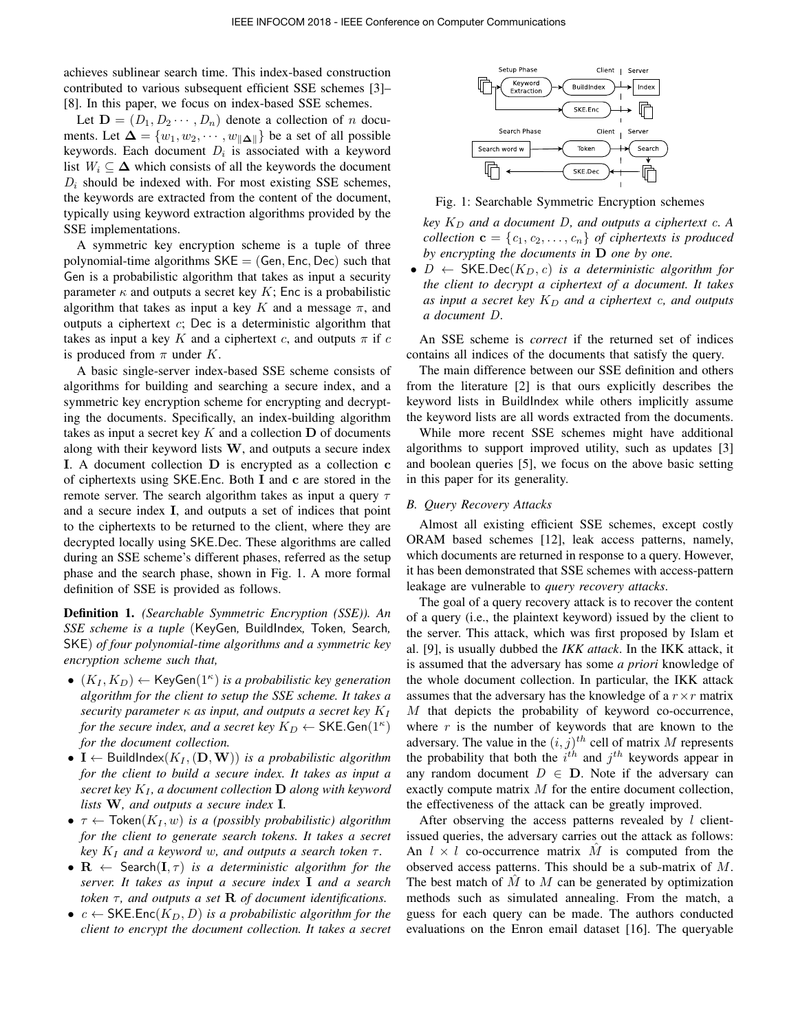achieves sublinear search time. This index-based construction contributed to various subsequent efficient SSE schemes [3]– [8]. In this paper, we focus on index-based SSE schemes.

Let  $\mathbf{D} = (D_1, D_2 \cdots, D_n)$  denote a collection of n documents. Let  $\Delta = \{w_1, w_2, \dots, w_{\|\Delta\|}\}\$  be a set of all possible keywords. Each document  $D_i$  is associated with a keyword list  $W_i \subseteq \Delta$  which consists of all the keywords the document  $D_i$  should be indexed with. For most existing SSE schemes, the keywords are extracted from the content of the document, typically using keyword extraction algorithms provided by the SSE implementations.

A symmetric key encryption scheme is a tuple of three polynomial-time algorithms  $SKE = (Gen, Enc, Dec)$  such that Gen is a probabilistic algorithm that takes as input a security parameter  $\kappa$  and outputs a secret key K; Enc is a probabilistic algorithm that takes as input a key K and a message  $\pi$ , and outputs a ciphertext  $c$ ; Dec is a deterministic algorithm that takes as input a key K and a ciphertext c, and outputs  $\pi$  if c is produced from  $\pi$  under K.

A basic single-server index-based SSE scheme consists of algorithms for building and searching a secure index, and a symmetric key encryption scheme for encrypting and decrypting the documents. Specifically, an index-building algorithm takes as input a secret key  $K$  and a collection  $D$  of documents along with their keyword lists  $W$ , and outputs a secure index I. A document collection D is encrypted as a collection c of ciphertexts using SKE.Enc. Both I and c are stored in the remote server. The search algorithm takes as input a query  $\tau$ and a secure index I, and outputs a set of indices that point to the ciphertexts to be returned to the client, where they are decrypted locally using SKE.Dec. These algorithms are called during an SSE scheme's different phases, referred as the setup phase and the search phase, shown in Fig. 1. A more formal definition of SSE is provided as follows.

Definition 1. *(Searchable Symmetric Encryption (SSE)). An SSE scheme is a tuple* (KeyGen*,* BuildIndex*,* Token*,* Search*,* SKE) *of four polynomial-time algorithms and a symmetric key encryption scheme such that,*

- $(K_I, K_D) \leftarrow \text{KeyGen}(1^{\kappa})$  *is a probabilistic key generation algorithm for the client to setup the SSE scheme. It takes a security parameter*  $\kappa$  *as input, and outputs a secret key*  $K_I$ *for the secure index, and a secret key*  $K_D \leftarrow \mathsf{SKE}.\mathsf{Gen}(1^\kappa)$ *for the document collection.*
- I  $\leftarrow$  BuildIndex $(K_I, (D, W))$  *is a probabilistic algorithm for the client to build a secure index. It takes as input a secret key* K<sup>I</sup> *, a document collection* D *along with keyword lists* W*, and outputs a secure index* I*.*
- $\tau \leftarrow$  Token $(K_I, w)$  *is a (possibly probabilistic) algorithm for the client to generate search tokens. It takes a secret key*  $K_I$  *and a keyword w, and outputs a search token*  $\tau$ *.*
- $\mathbf{R} \leftarrow$  Search $(\mathbf{I}, \tau)$  *is a deterministic algorithm for the server. It takes as input a secure index* I *and a search token*  $\tau$ *, and outputs a set*  $\bf{R}$  *of document identifications.*
- $c \leftarrow$  SKE.Enc( $K_D, D$ ) *is a probabilistic algorithm for the client to encrypt the document collection. It takes a secret*



Fig. 1: Searchable Symmetric Encryption schemes

*key*  $K_D$  *and a document D, and outputs a ciphertext c. A collection*  $\mathbf{c} = \{c_1, c_2, \dots, c_n\}$  *of ciphertexts is produced by encrypting the documents in* D *one by one.*

•  $D \leftarrow \mathsf{SKE}.\mathsf{Dec}(K_D, c)$  *is a deterministic algorithm for the client to decrypt a ciphertext of a document. It takes* as input a secret key  $K_D$  and a ciphertext c, and outputs *a document* D*.*

An SSE scheme is *correct* if the returned set of indices contains all indices of the documents that satisfy the query.

The main difference between our SSE definition and others from the literature [2] is that ours explicitly describes the keyword lists in BuildIndex while others implicitly assume the keyword lists are all words extracted from the documents.

While more recent SSE schemes might have additional algorithms to support improved utility, such as updates [3] and boolean queries [5], we focus on the above basic setting in this paper for its generality.

## *B. Query Recovery Attacks*

Almost all existing efficient SSE schemes, except costly ORAM based schemes [12], leak access patterns, namely, which documents are returned in response to a query. However, it has been demonstrated that SSE schemes with access-pattern leakage are vulnerable to *query recovery attacks*.

The goal of a query recovery attack is to recover the content of a query (i.e., the plaintext keyword) issued by the client to the server. This attack, which was first proposed by Islam et al. [9], is usually dubbed the *IKK attack*. In the IKK attack, it is assumed that the adversary has some *a priori* knowledge of the whole document collection. In particular, the IKK attack assumes that the adversary has the knowledge of a  $r \times r$  matrix M that depicts the probability of keyword co-occurrence, where  $r$  is the number of keywords that are known to the adversary. The value in the  $(i, j)^{th}$  cell of matrix M represents the probability that both the  $i^{th}$  and  $j^{th}$  keywords appear in any random document  $D \in \mathbf{D}$ . Note if the adversary can exactly compute matrix M for the entire document collection, the effectiveness of the attack can be greatly improved.

After observing the access patterns revealed by  $l$  clientissued queries, the adversary carries out the attack as follows: An  $l \times l$  co-occurrence matrix  $\hat{M}$  is computed from the observed access patterns. This should be a sub-matrix of M. The best match of  $M$  to  $M$  can be generated by optimization methods such as simulated annealing. From the match, a guess for each query can be made. The authors conducted evaluations on the Enron email dataset [16]. The queryable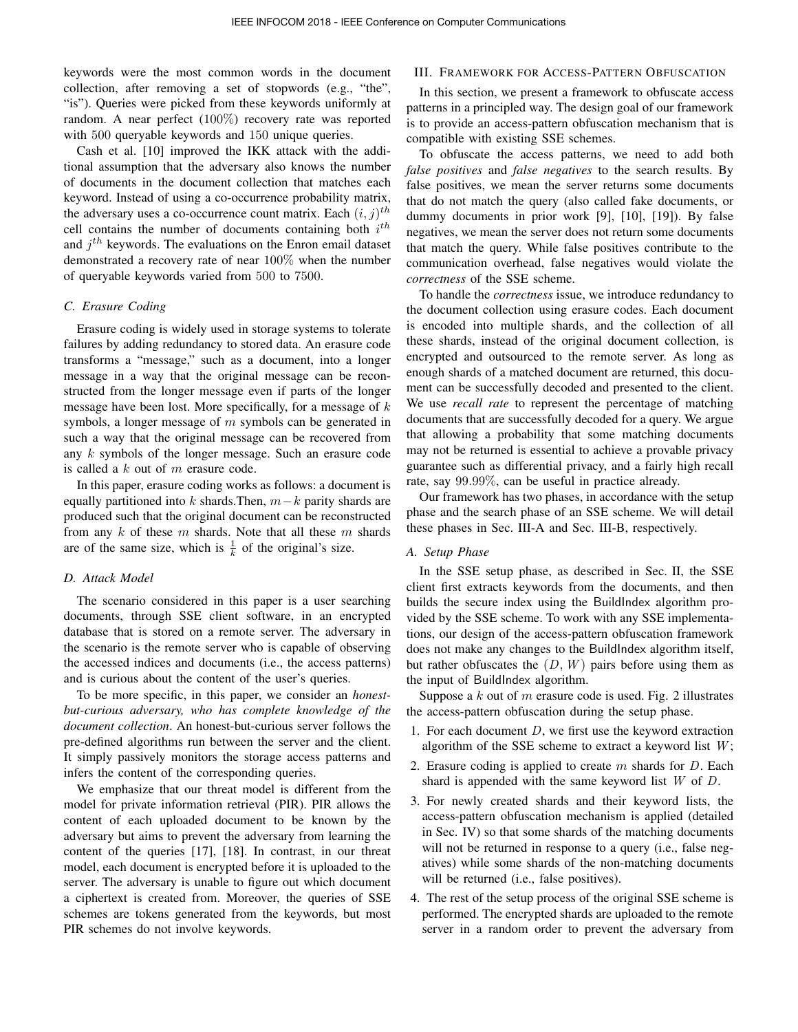keywords were the most common words in the document collection, after removing a set of stopwords (e.g., "the", "is"). Queries were picked from these keywords uniformly at random. A near perfect (100%) recovery rate was reported with 500 queryable keywords and 150 unique queries.

Cash et al. [10] improved the IKK attack with the additional assumption that the adversary also knows the number of documents in the document collection that matches each keyword. Instead of using a co-occurrence probability matrix, the adversary uses a co-occurrence count matrix. Each  $(i, j)$ <sup>th</sup> cell contains the number of documents containing both  $i^{th}$ and  $j<sup>th</sup>$  keywords. The evaluations on the Enron email dataset demonstrated a recovery rate of near 100% when the number of queryable keywords varied from 500 to 7500.

# *C. Erasure Coding*

Erasure coding is widely used in storage systems to tolerate failures by adding redundancy to stored data. An erasure code transforms a "message," such as a document, into a longer message in a way that the original message can be reconstructed from the longer message even if parts of the longer message have been lost. More specifically, for a message of  $k$ symbols, a longer message of  $m$  symbols can be generated in such a way that the original message can be recovered from any k symbols of the longer message. Such an erasure code is called a  $k$  out of  $m$  erasure code.

In this paper, erasure coding works as follows: a document is equally partitioned into k shards. Then,  $m-k$  parity shards are produced such that the original document can be reconstructed from any  $k$  of these  $m$  shards. Note that all these  $m$  shards are of the same size, which is  $\frac{1}{k}$  of the original's size.

## *D. Attack Model*

The scenario considered in this paper is a user searching documents, through SSE client software, in an encrypted database that is stored on a remote server. The adversary in the scenario is the remote server who is capable of observing the accessed indices and documents (i.e., the access patterns) and is curious about the content of the user's queries.

To be more specific, in this paper, we consider an *honestbut-curious adversary, who has complete knowledge of the document collection*. An honest-but-curious server follows the pre-defined algorithms run between the server and the client. It simply passively monitors the storage access patterns and infers the content of the corresponding queries.

We emphasize that our threat model is different from the model for private information retrieval (PIR). PIR allows the content of each uploaded document to be known by the adversary but aims to prevent the adversary from learning the content of the queries [17], [18]. In contrast, in our threat model, each document is encrypted before it is uploaded to the server. The adversary is unable to figure out which document a ciphertext is created from. Moreover, the queries of SSE schemes are tokens generated from the keywords, but most PIR schemes do not involve keywords.

# III. FRAMEWORK FOR ACCESS-PATTERN OBFUSCATION

In this section, we present a framework to obfuscate access patterns in a principled way. The design goal of our framework is to provide an access-pattern obfuscation mechanism that is compatible with existing SSE schemes.

To obfuscate the access patterns, we need to add both *false positives* and *false negatives* to the search results. By false positives, we mean the server returns some documents that do not match the query (also called fake documents, or dummy documents in prior work [9], [10], [19]). By false negatives, we mean the server does not return some documents that match the query. While false positives contribute to the communication overhead, false negatives would violate the *correctness* of the SSE scheme.

To handle the *correctness* issue, we introduce redundancy to the document collection using erasure codes. Each document is encoded into multiple shards, and the collection of all these shards, instead of the original document collection, is encrypted and outsourced to the remote server. As long as enough shards of a matched document are returned, this document can be successfully decoded and presented to the client. We use *recall rate* to represent the percentage of matching documents that are successfully decoded for a query. We argue that allowing a probability that some matching documents may not be returned is essential to achieve a provable privacy guarantee such as differential privacy, and a fairly high recall rate, say 99.99%, can be useful in practice already.

Our framework has two phases, in accordance with the setup phase and the search phase of an SSE scheme. We will detail these phases in Sec. III-A and Sec. III-B, respectively.

#### *A. Setup Phase*

In the SSE setup phase, as described in Sec. II, the SSE client first extracts keywords from the documents, and then builds the secure index using the BuildIndex algorithm provided by the SSE scheme. To work with any SSE implementations, our design of the access-pattern obfuscation framework does not make any changes to the BuildIndex algorithm itself, but rather obfuscates the  $(D, W)$  pairs before using them as the input of BuildIndex algorithm.

Suppose a  $k$  out of  $m$  erasure code is used. Fig. 2 illustrates the access-pattern obfuscation during the setup phase.

- 1. For each document  $D$ , we first use the keyword extraction algorithm of the SSE scheme to extract a keyword list  $W$ ;
- 2. Erasure coding is applied to create  $m$  shards for  $D$ . Each shard is appended with the same keyword list  $W$  of  $D$ .
- 3. For newly created shards and their keyword lists, the access-pattern obfuscation mechanism is applied (detailed in Sec. IV) so that some shards of the matching documents will not be returned in response to a query (i.e., false negatives) while some shards of the non-matching documents will be returned (i.e., false positives).
- 4. The rest of the setup process of the original SSE scheme is performed. The encrypted shards are uploaded to the remote server in a random order to prevent the adversary from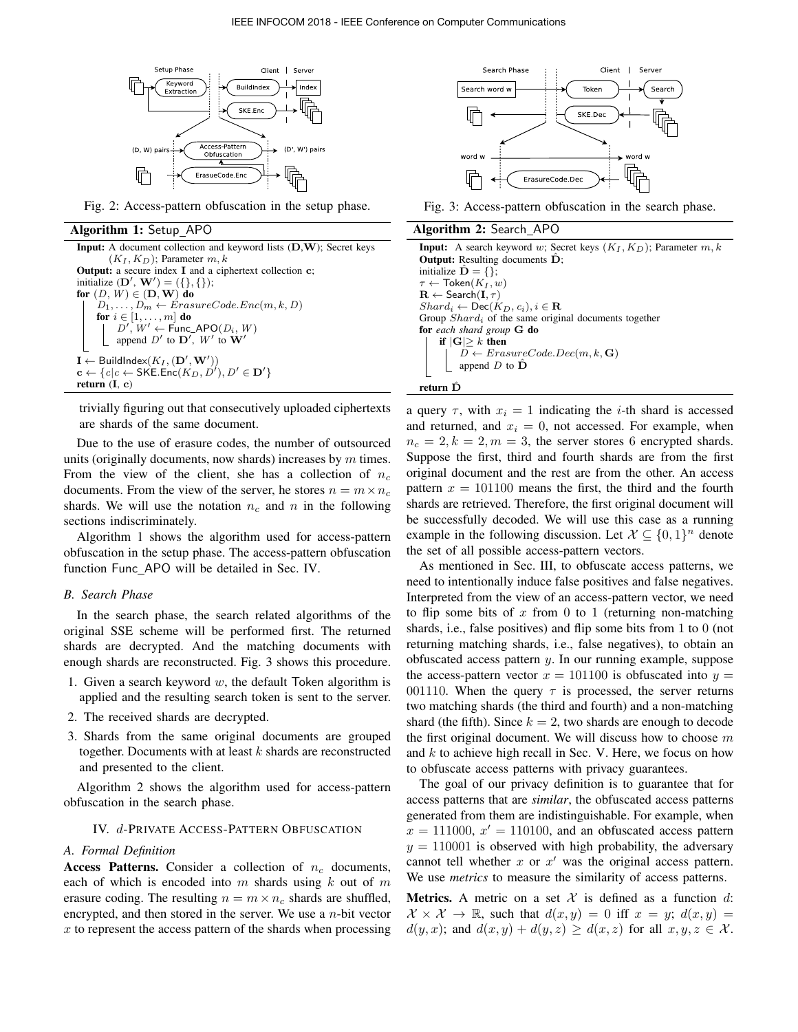

Fig. 2: Access-pattern obfuscation in the setup phase.

## Algorithm 1: Setup\_APO

Input: A document collection and keyword lists (D,W); Secret keys  $(K_I, K_D)$ ; Parameter  $m, k$ Output: a secure index I and a ciphertext collection c; initialize  $(D', \mathbf{W}') = (\{\}, \{\})$ ; for  $(D, W) \in (\mathbf{D}, \mathbf{W})$  do  $D_1, \ldots, D_m \leftarrow ErasureCode. Enc(m, k, D)$ for  $i \in [1, \ldots, m]$  do<br>  $\mid D', W' \leftarrow \textsf{Func\_APO}(D_i, W)$ append  $D'$  to  $\mathbf{D}'$ ,  $W'$  to  $\mathbf{W}'$  $\mathbf{I} \leftarrow$  BuildIndex $(K_I, (\mathbf{D}', \mathbf{W}'))$  $\mathbf{c} \leftarrow \{c | c \leftarrow \mathsf{SKE}.\mathsf{Enc}(K_D, D'), D' \in \mathbf{D'}\}$ return  $(I, c)$ 

trivially figuring out that consecutively uploaded ciphertexts are shards of the same document.

Due to the use of erasure codes, the number of outsourced units (originally documents, now shards) increases by  $m$  times. From the view of the client, she has a collection of  $n_c$ documents. From the view of the server, he stores  $n = m \times n_c$ shards. We will use the notation  $n_c$  and n in the following sections indiscriminately.

Algorithm 1 shows the algorithm used for access-pattern obfuscation in the setup phase. The access-pattern obfuscation function Func APO will be detailed in Sec. IV.

#### *B. Search Phase*

In the search phase, the search related algorithms of the original SSE scheme will be performed first. The returned shards are decrypted. And the matching documents with enough shards are reconstructed. Fig. 3 shows this procedure.

- 1. Given a search keyword  $w$ , the default Token algorithm is applied and the resulting search token is sent to the server.
- 2. The received shards are decrypted.
- 3. Shards from the same original documents are grouped together. Documents with at least  $k$  shards are reconstructed and presented to the client.

Algorithm 2 shows the algorithm used for access-pattern obfuscation in the search phase.

#### IV. d-PRIVATE ACCESS-PATTERN OBFUSCATION

#### *A. Formal Definition*

Access Patterns. Consider a collection of  $n_c$  documents, each of which is encoded into  $m$  shards using  $k$  out of  $m$ erasure coding. The resulting  $n = m \times n_c$  shards are shuffled, encrypted, and then stored in the server. We use a  $n$ -bit vector  $x$  to represent the access pattern of the shards when processing



Fig. 3: Access-pattern obfuscation in the search phase.

## Algorithm 2: Search\_APO

**Input:** A search keyword w; Secret keys  $(K_I, K_D)$ ; Parameter  $m, k$ **Output:** Resulting documents  $\hat{\mathbf{D}}$ ; initialize  $\hat{\mathbf{D}} = \{\}$ ;  $τ$  ← Token $(K_I, w)$  $\mathbf{R} \leftarrow \mathsf{Search}(\mathbf{I}, \tau)$  $Shard_i \leftarrow \text{Dec}(K_D, c_i), i \in \mathbf{R}$ Group  $Shard_i$  of the same original documents together for *each shard group* G do if  $|\mathbf{G}| \geq k$  then  $D \leftarrow ErasureCode, Dec(m, k, \mathbf{G})$ append  $D$  to  $\hat{\mathbf{D}}$ return D

a query  $\tau$ , with  $x_i = 1$  indicating the *i*-th shard is accessed and returned, and  $x_i = 0$ , not accessed. For example, when  $n_c = 2, k = 2, m = 3$ , the server stores 6 encrypted shards. Suppose the first, third and fourth shards are from the first original document and the rest are from the other. An access pattern  $x = 101100$  means the first, the third and the fourth shards are retrieved. Therefore, the first original document will be successfully decoded. We will use this case as a running example in the following discussion. Let  $\mathcal{X} \subseteq \{0,1\}^n$  denote the set of all possible access-pattern vectors.

As mentioned in Sec. III, to obfuscate access patterns, we need to intentionally induce false positives and false negatives. Interpreted from the view of an access-pattern vector, we need to flip some bits of  $x$  from 0 to 1 (returning non-matching shards, i.e., false positives) and flip some bits from 1 to 0 (not returning matching shards, i.e., false negatives), to obtain an obfuscated access pattern  $y$ . In our running example, suppose the access-pattern vector  $x = 101100$  is obfuscated into  $y =$ 001110. When the query  $\tau$  is processed, the server returns two matching shards (the third and fourth) and a non-matching shard (the fifth). Since  $k = 2$ , two shards are enough to decode the first original document. We will discuss how to choose  $m$ and  $k$  to achieve high recall in Sec. V. Here, we focus on how to obfuscate access patterns with privacy guarantees.

The goal of our privacy definition is to guarantee that for access patterns that are *similar*, the obfuscated access patterns generated from them are indistinguishable. For example, when  $x = 111000$ ,  $x' = 110100$ , and an obfuscated access pattern  $y = 110001$  is observed with high probability, the adversary cannot tell whether  $x$  or  $x'$  was the original access pattern. We use *metrics* to measure the similarity of access patterns.

**Metrics.** A metric on a set  $\mathcal{X}$  is defined as a function d:  $\mathcal{X} \times \mathcal{X} \to \mathbb{R}$ , such that  $d(x, y) = 0$  iff  $x = y$ ;  $d(x, y) = 0$  $d(y, x)$ ; and  $d(x, y) + d(y, z) \ge d(x, z)$  for all  $x, y, z \in \mathcal{X}$ .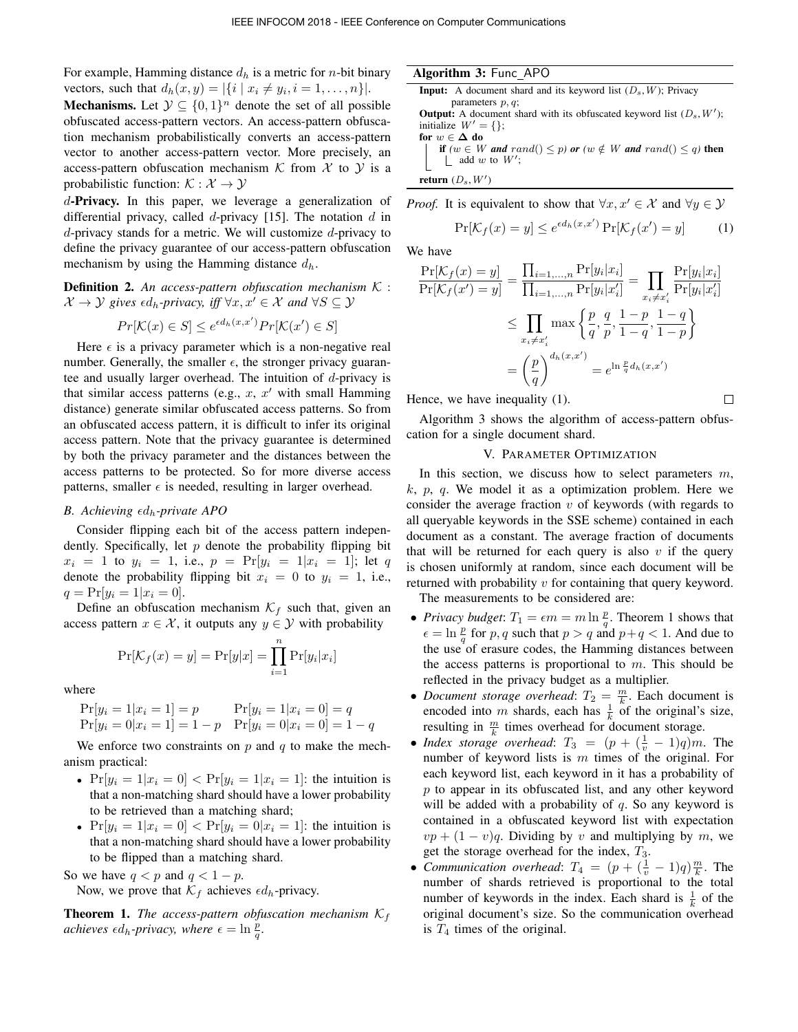For example, Hamming distance  $d_h$  is a metric for *n*-bit binary vectors, such that  $d_h(x, y) = |\{i \mid x_i \neq y_i, i = 1, ..., n\}|$ .

**Mechanisms.** Let  $\mathcal{Y} \subseteq \{0, 1\}^n$  denote the set of all possible obfuscated access-pattern vectors. An access-pattern obfuscation mechanism probabilistically converts an access-pattern vector to another access-pattern vector. More precisely, an access-pattern obfuscation mechanism  $\mathcal K$  from  $\mathcal X$  to  $\mathcal Y$  is a probabilistic function:  $K : \mathcal{X} \to \mathcal{Y}$ 

d-Privacy. In this paper, we leverage a generalization of differential privacy, called d-privacy [15]. The notation  $d$  in  $d$ -privacy stands for a metric. We will customize  $d$ -privacy to define the privacy guarantee of our access-pattern obfuscation mechanism by using the Hamming distance  $d_h$ .

Definition 2. *An access-pattern obfuscation mechanism* K :  $\mathcal{X} \to \mathcal{Y}$  gives  $\epsilon d_h$ -privacy, iff  $\forall x, x' \in \mathcal{X}$  and  $\forall S \subseteq \mathcal{Y}$ 

$$
Pr[\mathcal{K}(x) \in S] \le e^{\epsilon d_h(x, x')} Pr[\mathcal{K}(x') \in S]
$$

Here  $\epsilon$  is a privacy parameter which is a non-negative real number. Generally, the smaller  $\epsilon$ , the stronger privacy guarantee and usually larger overhead. The intuition of  $d$ -privacy is that similar access patterns (e.g.,  $x$ ,  $x'$  with small Hamming distance) generate similar obfuscated access patterns. So from an obfuscated access pattern, it is difficult to infer its original access pattern. Note that the privacy guarantee is determined by both the privacy parameter and the distances between the access patterns to be protected. So for more diverse access patterns, smaller  $\epsilon$  is needed, resulting in larger overhead.

#### *B. Achieving ed<sub>h</sub>-private APO*

Consider flipping each bit of the access pattern independently. Specifically, let  $p$  denote the probability flipping bit  $x_i = 1$  to  $y_i = 1$ , i.e.,  $p = Pr[y_i = 1 | x_i = 1]$ ; let q denote the probability flipping bit  $x_i = 0$  to  $y_i = 1$ , i.e.,  $q = Pr[y_i = 1 | x_i = 0].$ 

Define an obfuscation mechanism  $K_f$  such that, given an access pattern  $x \in \mathcal{X}$ , it outputs any  $y \in \mathcal{Y}$  with probability

$$
\Pr[\mathcal{K}_f(x) = y] = \Pr[y|x] = \prod_{i=1}^n \Pr[y_i|x_i]
$$

where

$$
\Pr[y_i = 1 | x_i = 1] = p \qquad \Pr[y_i = 1 | x_i = 0] = q
$$
  
\n
$$
\Pr[y_i = 0 | x_i = 1] = 1 - p \qquad \Pr[y_i = 0 | x_i = 0] = 1 - q
$$

We enforce two constraints on  $p$  and  $q$  to make the mechanism practical:

- $Pr[y_i = 1 | x_i = 0] < Pr[y_i = 1 | x_i = 1]$ : the intuition is that a non-matching shard should have a lower probability to be retrieved than a matching shard;
- $Pr[y_i = 1 | x_i = 0] < Pr[y_i = 0 | x_i = 1]$ : the intuition is that a non-matching shard should have a lower probability to be flipped than a matching shard.

So we have  $q < p$  and  $q < 1 - p$ .

Now, we prove that  $\mathcal{K}_f$  achieves  $\epsilon d_h$ -privacy.

**Theorem 1.** *The access-pattern obfuscation mechanism*  $K_f$ *achieves*  $\epsilon d_h$ -privacy, where  $\epsilon = \ln \frac{p}{q}$ .

## Algorithm 3: Func\_APO

**Input:** A document shard and its keyword list  $(D_s, W)$ ; Privacy parameters  $p, q$ ; **Output:** A document shard with its obfuscated keyword list  $(D_s, W')$ ; initialize  $W' = \{\};$ for  $w \in \Delta$  do if  $(w \in W \text{ and } rand() \leq p)$  or  $(w \notin W \text{ and } rand() \leq q)$  then add  $w$  to  $W'$ ; return  $(D_s, W')$ 

*Proof.* It is equivalent to show that  $\forall x, x' \in \mathcal{X}$  and  $\forall y \in \mathcal{Y}$ 

$$
\Pr[\mathcal{K}_f(x) = y] \le e^{\epsilon d_h(x, x')} \Pr[\mathcal{K}_f(x') = y]
$$
 (1)

We have

$$
\frac{\Pr[\mathcal{K}_f(x) = y]}{\Pr[\mathcal{K}_f(x') = y]} = \frac{\prod_{i=1,...,n} \Pr[y_i | x_i]}{\prod_{i=1,...,n} \Pr[y_i | x_i']} = \prod_{x_i \neq x_i'} \frac{\Pr[y_i | x_i]}{\Pr[y_i | x_i']} \n\leq \prod_{x_i \neq x_i'} \max\left\{\frac{p}{q}, \frac{q}{p}, \frac{1-p}{1-q}, \frac{1-q}{1-p}\right\} \n= \left(\frac{p}{q}\right)^{d_h(x, x')} = e^{\ln \frac{p}{q} d_h(x, x')}
$$

Hence, we have inequality (1).

Algorithm 3 shows the algorithm of access-pattern obfuscation for a single document shard.

## V. PARAMETER OPTIMIZATION

In this section, we discuss how to select parameters  $m$ ,  $k, p, q$ . We model it as a optimization problem. Here we consider the average fraction  $v$  of keywords (with regards to all queryable keywords in the SSE scheme) contained in each document as a constant. The average fraction of documents that will be returned for each query is also  $v$  if the query is chosen uniformly at random, since each document will be returned with probability  $v$  for containing that query keyword.

The measurements to be considered are:

- *Privacy budget*:  $T_1 = \epsilon m = m \ln \frac{p}{q}$ . Theorem 1 shows that  $\epsilon = \ln \frac{p}{q}$  for p, q such that  $p > q$  and  $p+q < 1$ . And due to the use of erasure codes, the Hamming distances between the access patterns is proportional to  $m$ . This should be reflected in the privacy budget as a multiplier.
- *Document storage overhead*:  $T_2 = \frac{m}{k}$ . Each document is encoded into m shards, each has  $\frac{1}{k}$  of the original's size, resulting in  $\frac{m}{k}$  times overhead for document storage.
- *Index storage overhead*:  $T_3 = (p + (\frac{1}{v} 1)q)m$ . The number of keyword lists is  $m$  times of the original. For each keyword list, each keyword in it has a probability of p to appear in its obfuscated list, and any other keyword will be added with a probability of  $q$ . So any keyword is contained in a obfuscated keyword list with expectation  $vp + (1 - v)q$ . Dividing by v and multiplying by m, we get the storage overhead for the index,  $T_3$ .
- *Communication overhead*:  $T_4 = (p + (\frac{1}{v} 1)q)\frac{m}{k}$ . The number of shards retrieved is proportional to the total number of keywords in the index. Each shard is  $\frac{1}{k}$  of the original document's size. So the communication overhead is  $T_4$  times of the original.

 $\Box$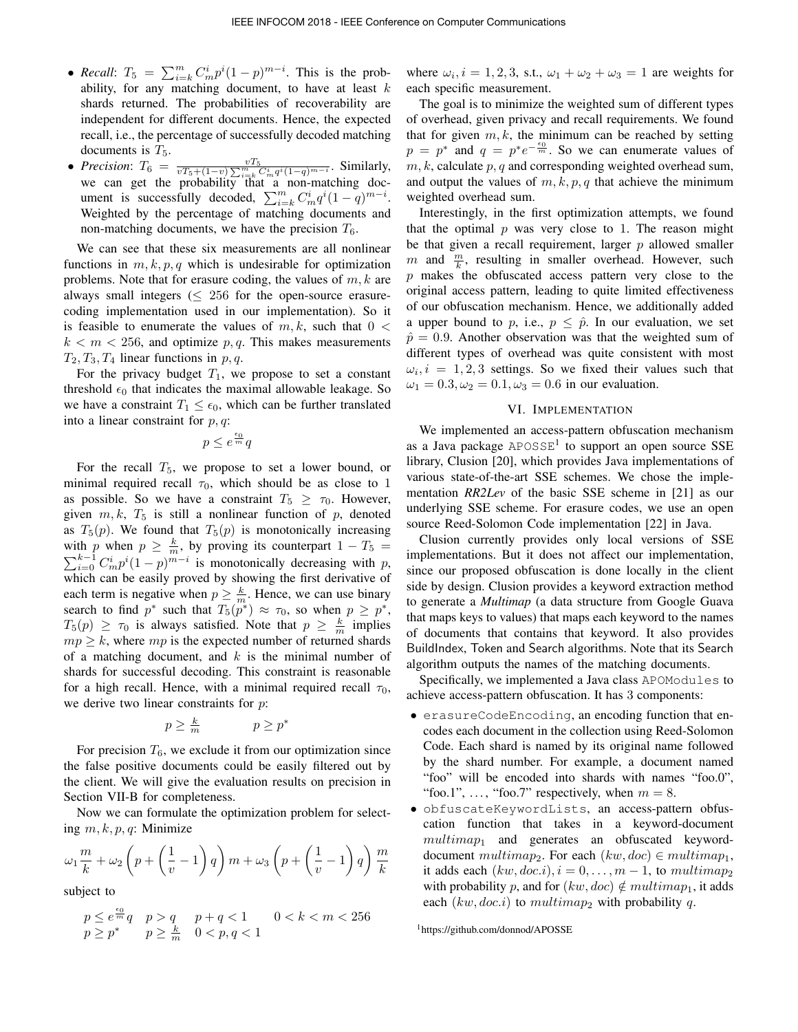- *Recall*:  $T_5 = \sum_{i=k}^{m} C_m^i p^i (1-p)^{m-i}$ . This is the probability, for any matching document, to have at least  $k$ shards returned. The probabilities of recoverability are independent for different documents. Hence, the expected recall, i.e., the percentage of successfully decoded matching documents is  $T_5$ .
- *Precision*:  $T_6 = \frac{vT_5}{vT_5 + (1-v)\sum_{i=k}^{m} C_m^i q^i (1-q)^{m-i}}$ . Similarly, we can get the probability that a non-matching document is successfully decoded,  $\sum_{i=k}^{m} C_m^i q^i (1-q)^{m-i}$ . Weighted by the percentage of matching documents and non-matching documents, we have the precision  $T_6$ .

We can see that these six measurements are all nonlinear functions in  $m, k, p, q$  which is undesirable for optimization problems. Note that for erasure coding, the values of  $m, k$  are always small integers  $(\leq 256$  for the open-source erasurecoding implementation used in our implementation). So it is feasible to enumerate the values of  $m, k$ , such that  $0 <$  $k < m < 256$ , and optimize p, q. This makes measurements  $T_2, T_3, T_4$  linear functions in  $p, q$ .

For the privacy budget  $T_1$ , we propose to set a constant threshold  $\epsilon_0$  that indicates the maximal allowable leakage. So we have a constraint  $T_1 \leq \epsilon_0$ , which can be further translated into a linear constraint for  $p, q$ :

 $p \leq e^{\frac{\epsilon_0}{m}}q$ 

For the recall  $T_5$ , we propose to set a lower bound, or minimal required recall  $\tau_0$ , which should be as close to 1 as possible. So we have a constraint  $T_5 \geq \tau_0$ . However, given  $m, k, T_5$  is still a nonlinear function of p, denoted as  $T_5(p)$ . We found that  $T_5(p)$  is monotonically increasing with p when  $p \geq \frac{k}{m}$ , by proving its counterpart  $1 - T_5 =$  $\sum_{i=0}^{k-1} C_m^i p^i (1-p)^{m-i}$  is monotonically decreasing with p, which can be easily proved by showing the first derivative of each term is negative when  $p \geq \frac{k}{m}$ . Hence, we can use binary search to find  $p^*$  such that  $T_5(p^*) \approx \tau_0$ , so when  $p \geq p^*$ ,  $T_5(p) \geq \tau_0$  is always satisfied. Note that  $p \geq \frac{k}{m}$  implies  $mp \geq k$ , where  $mp$  is the expected number of returned shards of a matching document, and  $k$  is the minimal number of shards for successful decoding. This constraint is reasonable for a high recall. Hence, with a minimal required recall  $\tau_0$ , we derive two linear constraints for  $p$ :

$$
p \ge \frac{k}{m} \qquad \qquad p \ge p^*
$$

For precision  $T_6$ , we exclude it from our optimization since the false positive documents could be easily filtered out by the client. We will give the evaluation results on precision in Section VII-B for completeness.

Now we can formulate the optimization problem for selecting  $m, k, p, q$ : Minimize

$$
\omega_1 \frac{m}{k} + \omega_2 \left( p + \left( \frac{1}{v} - 1 \right) q \right) m + \omega_3 \left( p + \left( \frac{1}{v} - 1 \right) q \right) \frac{m}{k}
$$

subject to

$$
\begin{array}{ll} p\leq e^{\frac{\epsilon_0}{m}}q & p>q\\ p\geq p^* & p\geq \frac{k}{m} \quad 0
$$

where  $\omega_i$ ,  $i = 1, 2, 3$ , s.t.,  $\omega_1 + \omega_2 + \omega_3 = 1$  are weights for each specific measurement.

The goal is to minimize the weighted sum of different types of overhead, given privacy and recall requirements. We found that for given  $m, k$ , the minimum can be reached by setting  $p = p^*$  and  $q = p^* e^{-\frac{\epsilon_0}{m}}$ . So we can enumerate values of  $m, k$ , calculate p, q and corresponding weighted overhead sum, and output the values of  $m, k, p, q$  that achieve the minimum weighted overhead sum.

Interestingly, in the first optimization attempts, we found that the optimal  $p$  was very close to 1. The reason might be that given a recall requirement, larger  $p$  allowed smaller m and  $\frac{m}{k}$ , resulting in smaller overhead. However, such p makes the obfuscated access pattern very close to the original access pattern, leading to quite limited effectiveness of our obfuscation mechanism. Hence, we additionally added a upper bound to p, i.e.,  $p \leq \hat{p}$ . In our evaluation, we set  $\hat{p} = 0.9$ . Another observation was that the weighted sum of different types of overhead was quite consistent with most  $\omega_i$ ,  $i = 1, 2, 3$  settings. So we fixed their values such that  $\omega_1 = 0.3, \omega_2 = 0.1, \omega_3 = 0.6$  in our evaluation.

## VI. IMPLEMENTATION

We implemented an access-pattern obfuscation mechanism as a Java package  $APOSSE<sup>1</sup>$  to support an open source SSE library, Clusion [20], which provides Java implementations of various state-of-the-art SSE schemes. We chose the implementation *RR2Lev* of the basic SSE scheme in [21] as our underlying SSE scheme. For erasure codes, we use an open source Reed-Solomon Code implementation [22] in Java.

Clusion currently provides only local versions of SSE implementations. But it does not affect our implementation, since our proposed obfuscation is done locally in the client side by design. Clusion provides a keyword extraction method to generate a *Multimap* (a data structure from Google Guava that maps keys to values) that maps each keyword to the names of documents that contains that keyword. It also provides BuildIndex, Token and Search algorithms. Note that its Search algorithm outputs the names of the matching documents.

Specifically, we implemented a Java class APOModules to achieve access-pattern obfuscation. It has 3 components:

- erasureCodeEncoding, an encoding function that encodes each document in the collection using Reed-Solomon Code. Each shard is named by its original name followed by the shard number. For example, a document named "foo" will be encoded into shards with names "foo.0", "foo.1", ..., "foo.7" respectively, when  $m = 8$ .
- obfuscateKeywordLists, an access-pattern obfuscation function that takes in a keyword-document  $multimap_1$  and generates an obfuscated keyworddocument multimap<sub>2</sub>. For each  $(kw, doc) \in multimap_1$ , it adds each  $(kw, doc.i), i = 0, \ldots, m-1$ , to multimap<sub>2</sub> with probability p, and for  $(kw, doc) \notin multimap_1$ , it adds each  $(kw, doc.i)$  to multimap<sub>2</sub> with probability q.

<sup>1</sup>https://github.com/donnod/APOSSE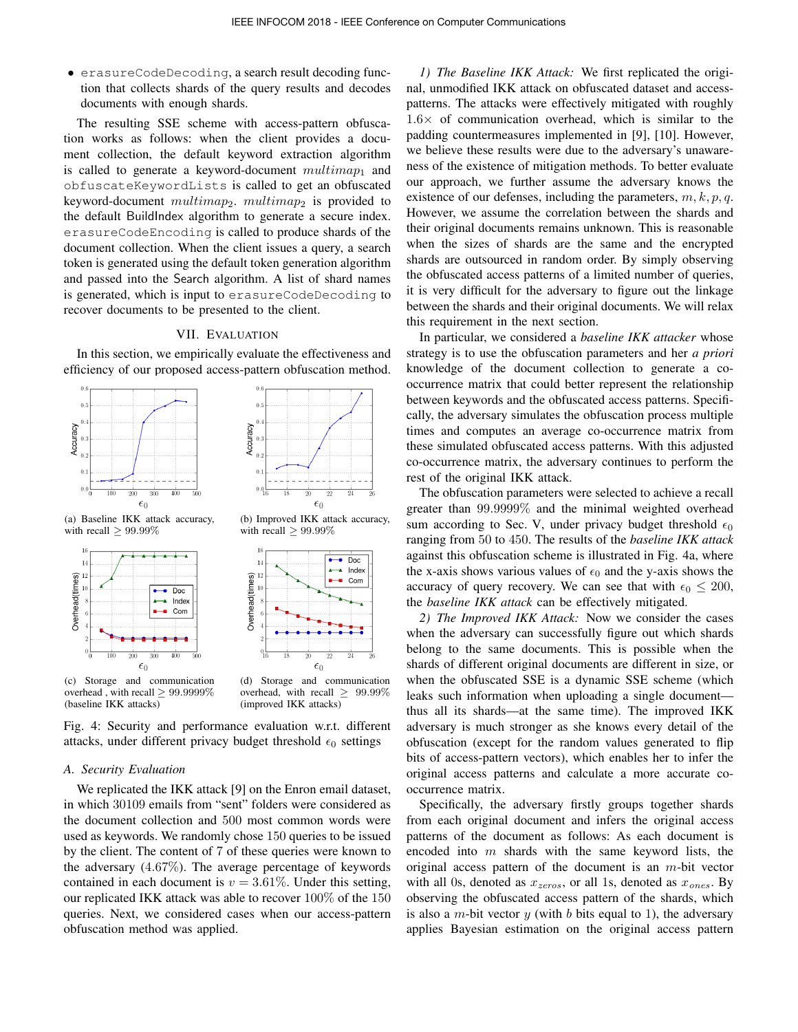• erasureCodeDecoding, a search result decoding function that collects shards of the query results and decodes documents with enough shards.

The resulting SSE scheme with access-pattern obfuscation works as follows: when the client provides a document collection, the default keyword extraction algorithm is called to generate a keyword-document  $multimap_1$  and obfuscateKeywordLists is called to get an obfuscated keyword-document  $multimap_2$ .  $multimap_2$  is provided to the default BuildIndex algorithm to generate a secure index. erasureCodeEncoding is called to produce shards of the document collection. When the client issues a query, a search token is generated using the default token generation algorithm and passed into the Search algorithm. A list of shard names is generated, which is input to erasureCodeDecoding to recover documents to be presented to the client.

## VII. EVALUATION

In this section, we empirically evaluate the effectiveness and efficiency of our proposed access-pattern obfuscation method.

 $\mathbf{a}$ 



 $\overline{22}$  $\overline{24}$  $\overline{\mathcal{U}}$  $\epsilon_0$ 

(b) Improved IKK attack accuracy,

 $\overline{\bullet}$  $Doc$ 

 $\rightarrow$  Index

 $\blacksquare$  Com

with recall  $\geq 99.99\%$ 

 $\mathbf{1}$ 

Overhead(times)

(a) Baseline IKK attack accuracy, with recall  $\geq 99.99\%$ 

 $\alpha$ 



overhead , with recall  $> 99.9999\%$ 



(baseline IKK attacks) (improved IKK attacks) Fig. 4: Security and performance evaluation w.r.t. different

#### *A. Security Evaluation*

We replicated the IKK attack [9] on the Enron email dataset, in which 30109 emails from "sent" folders were considered as the document collection and 500 most common words were used as keywords. We randomly chose 150 queries to be issued by the client. The content of 7 of these queries were known to the adversary  $(4.67\%)$ . The average percentage of keywords contained in each document is  $v = 3.61\%$ . Under this setting, our replicated IKK attack was able to recover 100% of the 150 queries. Next, we considered cases when our access-pattern obfuscation method was applied.

attacks, under different privacy budget threshold  $\epsilon_0$  settings

*1) The Baseline IKK Attack:* We first replicated the original, unmodified IKK attack on obfuscated dataset and accesspatterns. The attacks were effectively mitigated with roughly  $1.6\times$  of communication overhead, which is similar to the padding countermeasures implemented in [9], [10]. However, we believe these results were due to the adversary's unawareness of the existence of mitigation methods. To better evaluate our approach, we further assume the adversary knows the existence of our defenses, including the parameters,  $m, k, p, q$ . However, we assume the correlation between the shards and their original documents remains unknown. This is reasonable when the sizes of shards are the same and the encrypted shards are outsourced in random order. By simply observing the obfuscated access patterns of a limited number of queries, it is very difficult for the adversary to figure out the linkage between the shards and their original documents. We will relax this requirement in the next section.

In particular, we considered a *baseline IKK attacker* whose strategy is to use the obfuscation parameters and her *a priori* knowledge of the document collection to generate a cooccurrence matrix that could better represent the relationship between keywords and the obfuscated access patterns. Specifically, the adversary simulates the obfuscation process multiple times and computes an average co-occurrence matrix from these simulated obfuscated access patterns. With this adjusted co-occurrence matrix, the adversary continues to perform the rest of the original IKK attack.

The obfuscation parameters were selected to achieve a recall greater than 99.9999% and the minimal weighted overhead sum according to Sec. V, under privacy budget threshold  $\epsilon_0$ ranging from 50 to 450. The results of the *baseline IKK attack* against this obfuscation scheme is illustrated in Fig. 4a, where the x-axis shows various values of  $\epsilon_0$  and the y-axis shows the accuracy of query recovery. We can see that with  $\epsilon_0 \leq 200$ , the *baseline IKK attack* can be effectively mitigated.

*2) The Improved IKK Attack:* Now we consider the cases when the adversary can successfully figure out which shards belong to the same documents. This is possible when the shards of different original documents are different in size, or when the obfuscated SSE is a dynamic SSE scheme (which leaks such information when uploading a single document thus all its shards—at the same time). The improved IKK adversary is much stronger as she knows every detail of the obfuscation (except for the random values generated to flip bits of access-pattern vectors), which enables her to infer the original access patterns and calculate a more accurate cooccurrence matrix.

Specifically, the adversary firstly groups together shards from each original document and infers the original access patterns of the document as follows: As each document is encoded into  $m$  shards with the same keyword lists, the original access pattern of the document is an  $m$ -bit vector with all 0s, denoted as  $x_{zeros}$ , or all 1s, denoted as  $x_{ones}$ . By observing the obfuscated access pattern of the shards, which is also a m-bit vector  $y$  (with b bits equal to 1), the adversary applies Bayesian estimation on the original access pattern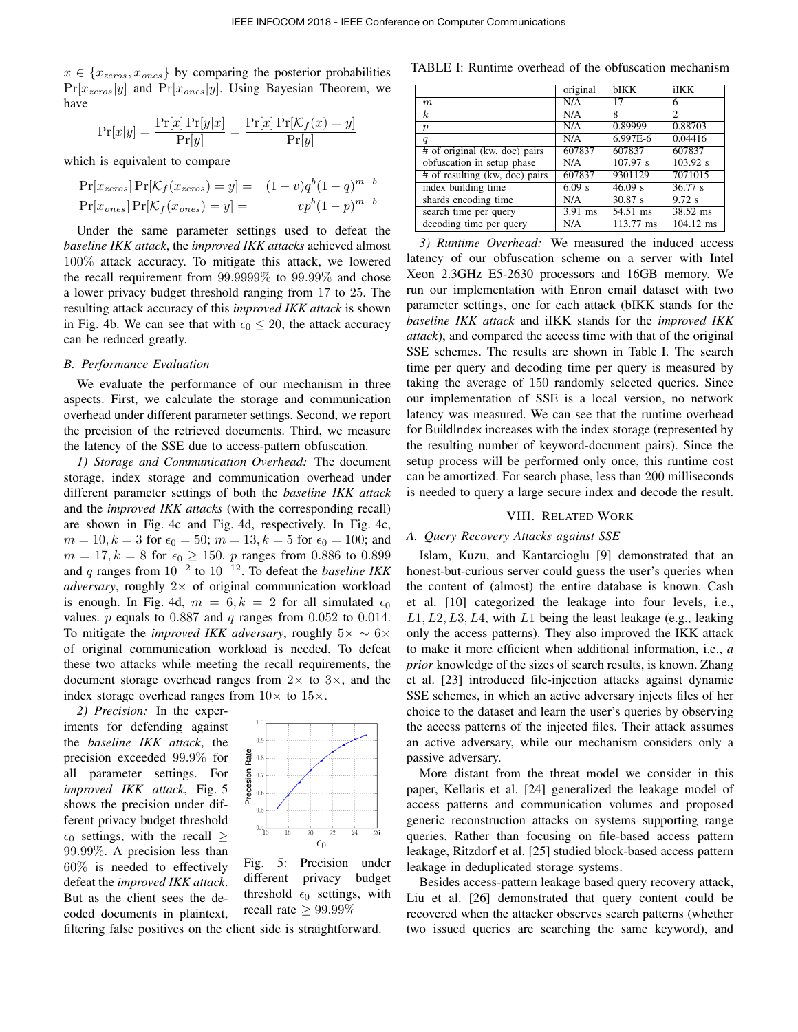$x \in \{x_{zeros}, x_{ones}\}\$  by comparing the posterior probabilities  $Pr[x_{zeros}|y]$  and  $Pr[x_{ones}|y]$ . Using Bayesian Theorem, we have

$$
\Pr[x|y] = \frac{\Pr[x]\Pr[y|x]}{\Pr[y]} = \frac{\Pr[x]\Pr[\mathcal{K}_f(x) = y]}{\Pr[y]}
$$

which is equivalent to compare

$$
\Pr[x_{zeros}] \Pr[\mathcal{K}_f(x_{zeros}) = y] = (1 - v)q^b (1 - q)^{m - b}
$$
  
\n
$$
\Pr[x_{ones}] \Pr[\mathcal{K}_f(x_{ones}) = y] = v p^b (1 - p)^{m - b}
$$

Under the same parameter settings used to defeat the *baseline IKK attack*, the *improved IKK attacks* achieved almost 100% attack accuracy. To mitigate this attack, we lowered the recall requirement from 99.9999% to 99.99% and chose a lower privacy budget threshold ranging from 17 to 25. The resulting attack accuracy of this *improved IKK attack* is shown in Fig. 4b. We can see that with  $\epsilon_0 \leq 20$ , the attack accuracy can be reduced greatly.

## *B. Performance Evaluation*

We evaluate the performance of our mechanism in three aspects. First, we calculate the storage and communication overhead under different parameter settings. Second, we report the precision of the retrieved documents. Third, we measure the latency of the SSE due to access-pattern obfuscation.

*1) Storage and Communication Overhead:* The document storage, index storage and communication overhead under different parameter settings of both the *baseline IKK attack* and the *improved IKK attacks* (with the corresponding recall) are shown in Fig. 4c and Fig. 4d, respectively. In Fig. 4c,  $m = 10, k = 3$  for  $\epsilon_0 = 50; m = 13, k = 5$  for  $\epsilon_0 = 100$ ; and  $m = 17, k = 8$  for  $\epsilon_0 \ge 150$ . p ranges from 0.886 to 0.899 and q ranges from 10<sup>−</sup><sup>2</sup> to 10<sup>−</sup><sup>12</sup>. To defeat the *baseline IKK*  $adversary$ , roughly  $2 \times$  of original communication workload is enough. In Fig. 4d,  $m = 6, k = 2$  for all simulated  $\epsilon_0$ values. p equals to 0.887 and q ranges from 0.052 to 0.014. To mitigate the *improved IKK adversary*, roughly  $5 \times \sim 6 \times$ of original communication workload is needed. To defeat these two attacks while meeting the recall requirements, the document storage overhead ranges from  $2 \times$  to  $3 \times$ , and the index storage overhead ranges from  $10\times$  to  $15\times$ .

*2) Precision:* In the experiments for defending against the *baseline IKK attack*, the precision exceeded 99.9% for all parameter settings. For *improved IKK attack*, Fig. 5 shows the precision under different privacy budget threshold  $\epsilon_0$  settings, with the recall  $\geq$ 99.99%. A precision less than 60% is needed to effectively defeat the *improved IKK attack*. But as the client sees the decoded documents in plaintext,



Fig. 5: Precision under different privacy budget threshold  $\epsilon_0$  settings, with recall rate  $\geq 99.99\%$ 

filtering false positives on the client side is straightforward.

TABLE I: Runtime overhead of the obfuscation mechanism

|                                | original  | <b>bIKK</b> | iIKK           |
|--------------------------------|-----------|-------------|----------------|
| m                              | N/A       | 17          | 6              |
| $\boldsymbol{k}$               | N/A       | 8           | $\mathfrak{D}$ |
| $\boldsymbol{p}$               | N/A       | 0.89999     | 0.88703        |
| $\boldsymbol{q}$               | N/A       | 6.997E-6    | 0.04416        |
| # of original (kw, doc) pairs  | 607837    | 607837      | 607837         |
| obfuscation in setup phase     | N/A       | 107.97 s    | 103.92 s       |
| # of resulting (kw, doc) pairs | 607837    | 9301129     | 7071015        |
| index building time            | 6.09 s    | 46.09 s     | 36.77 s        |
| shards encoding time           | N/A       | 30.87 s     | 9.72 s         |
| search time per query          | $3.91$ ms | 54.51 ms    | 38.52 ms       |
| decoding time per query        | N/A       | 113.77 ms   | $104.12$ ms    |

*3) Runtime Overhead:* We measured the induced access latency of our obfuscation scheme on a server with Intel Xeon 2.3GHz E5-2630 processors and 16GB memory. We run our implementation with Enron email dataset with two parameter settings, one for each attack (bIKK stands for the *baseline IKK attack* and iIKK stands for the *improved IKK attack*), and compared the access time with that of the original SSE schemes. The results are shown in Table I. The search time per query and decoding time per query is measured by taking the average of 150 randomly selected queries. Since our implementation of SSE is a local version, no network latency was measured. We can see that the runtime overhead for BuildIndex increases with the index storage (represented by the resulting number of keyword-document pairs). Since the setup process will be performed only once, this runtime cost can be amortized. For search phase, less than 200 milliseconds is needed to query a large secure index and decode the result.

## VIII. RELATED WORK

## *A. Query Recovery Attacks against SSE*

Islam, Kuzu, and Kantarcioglu [9] demonstrated that an honest-but-curious server could guess the user's queries when the content of (almost) the entire database is known. Cash et al. [10] categorized the leakage into four levels, i.e.,  $L_1, L_2, L_3, L_4$ , with  $L_1$  being the least leakage (e.g., leaking only the access patterns). They also improved the IKK attack to make it more efficient when additional information, i.e., *a prior* knowledge of the sizes of search results, is known. Zhang et al. [23] introduced file-injection attacks against dynamic SSE schemes, in which an active adversary injects files of her choice to the dataset and learn the user's queries by observing the access patterns of the injected files. Their attack assumes an active adversary, while our mechanism considers only a passive adversary.

More distant from the threat model we consider in this paper, Kellaris et al. [24] generalized the leakage model of access patterns and communication volumes and proposed generic reconstruction attacks on systems supporting range queries. Rather than focusing on file-based access pattern leakage, Ritzdorf et al. [25] studied block-based access pattern leakage in deduplicated storage systems.

Besides access-pattern leakage based query recovery attack, Liu et al. [26] demonstrated that query content could be recovered when the attacker observes search patterns (whether two issued queries are searching the same keyword), and